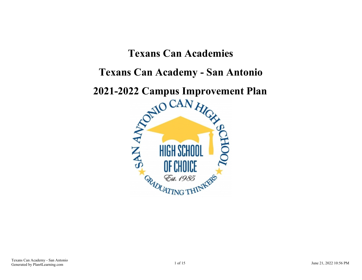# **Texans Can Academies**

## **Texans Can Academy - San Antonio**

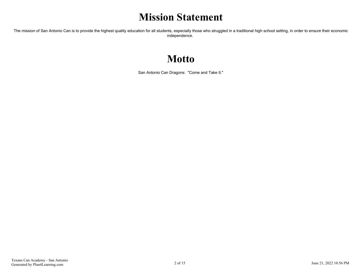## **Mission Statement**

The mission of San Antonio Can is to provide the highest quality education for all students, especially those who struggled in a traditional high school setting, in order to ensure their economic independence.

## **Motto**

San Antonio Can Dragons: "Come and Take It."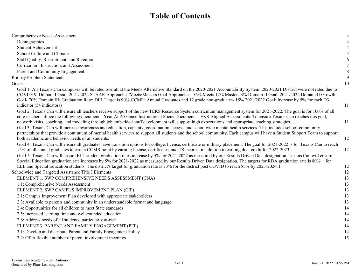## **Table of Contents**

| Comprehensive Needs Assessment                                                                                                                                                                                                                                                                                                                                                                                                                                                                   | 4  |
|--------------------------------------------------------------------------------------------------------------------------------------------------------------------------------------------------------------------------------------------------------------------------------------------------------------------------------------------------------------------------------------------------------------------------------------------------------------------------------------------------|----|
| Demographics                                                                                                                                                                                                                                                                                                                                                                                                                                                                                     | 4  |
| <b>Student Achievement</b>                                                                                                                                                                                                                                                                                                                                                                                                                                                                       |    |
| School Culture and Climate                                                                                                                                                                                                                                                                                                                                                                                                                                                                       |    |
| Staff Quality, Recruitment, and Retention                                                                                                                                                                                                                                                                                                                                                                                                                                                        | 6  |
| Curriculum, Instruction, and Assessment                                                                                                                                                                                                                                                                                                                                                                                                                                                          |    |
| Parent and Community Engagement                                                                                                                                                                                                                                                                                                                                                                                                                                                                  | 8  |
| <b>Priority Problem Statements</b>                                                                                                                                                                                                                                                                                                                                                                                                                                                               | 9  |
| Goals                                                                                                                                                                                                                                                                                                                                                                                                                                                                                            | 10 |
| Goal 1: All Texans Can campuses will be rated overall at the Meets Alternative Standard on the 2020-2021 Accountability System. 2020-2021 District were not rated due to<br>COVID19. Domain I Goal: 2021/2022 STAAR Approaches/Meets/Masters Goal Approaches- 56% Meets 17% Masters 3% Domain II Goal: 2021/2022 Domain II Growth<br>Goal- 70% Domain III: Graduation Rate: DIII Target is 90% CCMR: Annual Graduates and 12 grade non-graduates- 15% 2021/2022 Goal: Increase by 5% for each D3 |    |
| indicator (54 indicators)                                                                                                                                                                                                                                                                                                                                                                                                                                                                        | 11 |
| Goal 2: Texans Can will ensure all teachers receive support of the new TEKS Resource System curriculum management system for 2021-2022. The goal is for 100% of all<br>core teachers utilize the following documents: Year At A Glance Instructional Focus Documents TEKS Aligned Assessments. To ensure Texans Can reaches this goal,<br>network visits, coaching, and modeling through job embedded staff development will support high expectations and appropriate teaching strategies.      | 11 |
| Goal 3: Texans Can will increase awareness and education, capacity, coordination, access, and schoolwide mental health services. This includes school-community<br>partnerships that provide a continuum of mental health services to support all students and the school community. Each campus will have a Student Support Team to support<br>both academic and behavior needs of all students.                                                                                                | 12 |
| Goal 4: Texans Can will ensure all graduates have transition options for college, license, certificate or military placement. The goal for 2021-2022 is for Texans Can to reach<br>15% of all annual graduates to earn a CCMR point by earning license, certificates, and TSI scores; in addition to earning dual credit for 2022-2023.                                                                                                                                                          | 12 |
| Goal 5: Texans Can will ensure ELL student graduation rates increase by 5% for 2021-2022 as measured by our Results Driven Data designation. Texans Can will ensure<br>Special Education graduation rate increases by 5% for 2021-2022 as measured by our Results Driven Data designation. The targets for RDA graduation rate is 80% + for<br>ELL and Special Education students. The district's target for graduation rate is 73% for the district post COVID to reach 85% by 2023-2024. I     | 12 |
| Schoolwide and Targeted Assistance Title I Elements                                                                                                                                                                                                                                                                                                                                                                                                                                              | 12 |
| ELEMENT 1. SWP COMPREHENSIVE NEEDS ASSESSMENT (CNA)                                                                                                                                                                                                                                                                                                                                                                                                                                              | 13 |
| 1.1: Comprehensive Needs Assessment                                                                                                                                                                                                                                                                                                                                                                                                                                                              | 13 |
| ELEMENT 2. SWP CAMPUS IMPROVEMENT PLAN (CIP)                                                                                                                                                                                                                                                                                                                                                                                                                                                     | 13 |
| 2.1: Campus Improvement Plan developed with appropriate stakeholders                                                                                                                                                                                                                                                                                                                                                                                                                             | 13 |
| 2.3: Available to parents and community in an understandable format and language                                                                                                                                                                                                                                                                                                                                                                                                                 | 13 |
| 2.4: Opportunities for all children to meet State standards                                                                                                                                                                                                                                                                                                                                                                                                                                      | 14 |
| 2.5: Increased learning time and well-rounded education                                                                                                                                                                                                                                                                                                                                                                                                                                          | 14 |
| 2.6: Address needs of all students, particularly at-risk                                                                                                                                                                                                                                                                                                                                                                                                                                         | 14 |
| ELEMENT 3. PARENT AND FAMILY ENGAGEMENT (PFE)                                                                                                                                                                                                                                                                                                                                                                                                                                                    | 14 |
| 3.1: Develop and distribute Parent and Family Engagement Policy                                                                                                                                                                                                                                                                                                                                                                                                                                  | 14 |
| 3.2: Offer flexible number of parent involvement meetings                                                                                                                                                                                                                                                                                                                                                                                                                                        | 15 |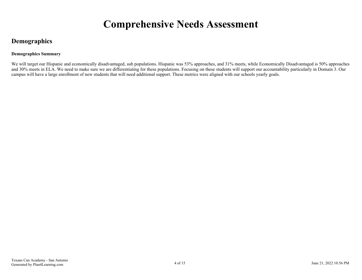## **Comprehensive Needs Assessment**

## <span id="page-3-0"></span>**Demographics**

#### **Demographics Summary**

We will target our Hispanic and economically disadvantaged, sub populations. Hispanic was 53% approaches, and 31% meets, while Economically Disadvantaged is 50% approaches and 30% meets in ELA. We need to make sure we are differentiating for these populations. Focusing on these students will support our accountability particularly in Domain 3. Our campus will have a large enrollment of new students that will need additional support. These metrics were aligned with our schools yearly goals.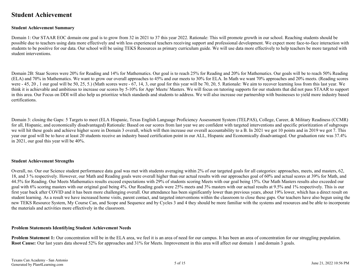## <span id="page-4-0"></span>**Student Achievement**

#### **Student Achievement Summary**

Domain 1: Our STAAR EOC domain one goal is to grow from 32 in 2021 to 37 this year 2022. Rationale: This will promote growth in our school. Reaching students should be possible due to teachers using data more effectively and with less experienced teachers receiving support and professional development. We expect more face-to-face interaction with students to be positive for our data. Our school will be using TEKS Resources as primary curriculum guide. We will use data more effectively to help teachers be more targeted with student interventions.

Domain 2B: Staar Scores were 20% for Reading and 14% for Mathematics. Our goal is to reach 25% for Reading and 20% for Mathematics. Our goals will be to reach 50% Reading (ELA) and 70% in Mathematics. We want to grow our overall approaches to 45% and our meets to 30% for ELA. In Math we want 70% approaches and 20% meets. (Reading scores were - 45, 20, 1 our goal will be 50, 25, 5.) (Math scores were - 67, 14, 3, our goal for this year will be 70, 20, 5. Rationale: We aim to recover learning loss from this last year. We think it is achievable and ambitious to increase our scores by 5-10% for App/ Meets/ Masters. We will focus on tutoring supports for our students that did not pass STAAR to support in this area. Our Focus on DDI will also help us prioritize which standards and students to address. We will also increase our partnership with businesses to yield more industry based certifications.

Domain 3: closing the Gaps: 5 Targets to meet (ELA Hispanic, Texas English Language Proficiency Assessment System (TELPAS), College, Career, & Military Readiness (CCMR) for all, Hispanic, and economically disadvantaged) Rationale: Based on our scores from last year we are confident with targeted interventions and specific prioritization of subgroups we will hit these goals and achieve higher score in Domain 3 overall, which will then increase our overall accountability to a B. In 2021 we got 10 points and in 2019 we got 7. This year our goal will be to have at least 20 students receive an industry based certification point in our ALL, Hispanic and Economically disadvantaged. Our graduation rate was 37.4% in 2021, our goal this year will be 40%.

#### **Student Achievement Strengths**

Overall, no. Our our Science student performance data goal was met with students averaging within 2% of our targeted goals for all categories: approaches, meets, and masters, 62, 18, and 3 % respectively. However, our Math and Reading goals were overall higher than our actual results with our approaches goal of 60% and actual scores at 39% for Math, and 44.5% for Reading. Our Meets Mathematics results exceed expectations with 29% of students scoring Meets with our goal being 15%. Our Math Masters results also exceeded our goal with 6% scoring masters with our original goal being 4%. Our Reading goals were 25% meets and 3% masters with our actual results at 9.5% and 1% respectively. This is our first year back after COVID and it has been more challenging overall. Our attendance has been significantly lower than previous years, about 19% lower, which has a direct result on student learning. As a result we have increased home visits, parent contact, and targeted interventions within the classroom to close these gaps. Our teachers have also begun using the new TEKS Resource System, My Course Can, and Scope and Sequence and by Cycles 3 and 4 they should be more familiar with the systems and resources and be able to incorporate the materials and activities more effectively in the classroom.

#### **Problem Statements Identifying Student Achievement Needs**

**Problem Statement 1:** Our concentration will be in the ELA area, we feel it is an area of need for our campus. It has been an area of concentration for our struggling population. **Root Cause:** Our last years data showed 52% for approaches and 31% for Meets. Improvement in this area will affect our domain 1 and domain 3 goals.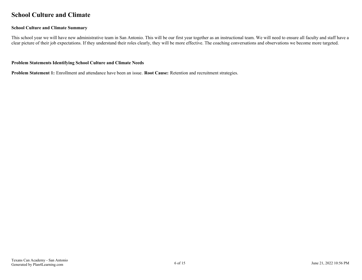### <span id="page-5-0"></span>**School Culture and Climate**

#### **School Culture and Climate Summary**

This school year we will have new administrative team in San Antonio. This will be our first year together as an instructional team. We will need to ensure all faculty and staff have a clear picture of their job expectations. If they understand their roles clearly, they will be more effective. The coaching conversations and observations we become more targeted.

#### **Problem Statements Identifying School Culture and Climate Needs**

**Problem Statement 1:** Enrollment and attendance have been an issue. **Root Cause:** Retention and recruitment strategies.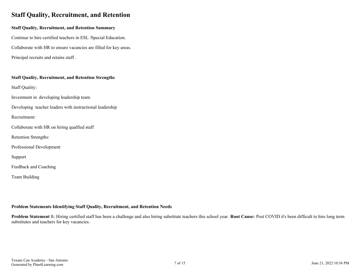## <span id="page-6-0"></span>**Staff Quality, Recruitment, and Retention**

#### **Staff Quality, Recruitment, and Retention Summary**

Continue to hire certified teachers in ESL /Special Education. Collaborate with HR to ensure vacancies are filled for key areas. Principal recruits and retains staff .

### **Staff Quality, Recruitment, and Retention Strengths**

Staff Quality:

Investment in developing leadership team.

Developing teacher leaders with instructional leadership

Recruitment:

Collaborate with HR on hiring qualfied staff

Retention Strengths:

Professional Development

Support

Feedback and Coaching

Team Building

#### **Problem Statements Identifying Staff Quality, Recruitment, and Retention Needs**

**Problem Statement 1:** Hiring certified staff has been a challenge and also hiring substitute teachers this school year. **Root Cause:** Post COVID it's been difficult to hire long term substitutes and teachers for key vacancies.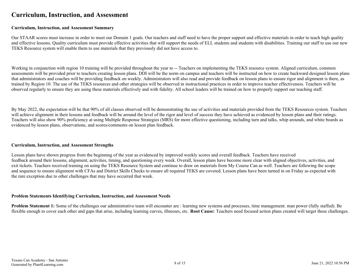### <span id="page-7-0"></span>**Curriculum, Instruction, and Assessment**

#### **Curriculum, Instruction, and Assessment Summary**

Our STAAR scores must increase in order to meet our Domain 1 goals. Our teachers and staff need to have the proper support and effective materials in order to teach high quality and effective lessons. Quality curriculum must provide effective activities that will support the needs of ELL students and students with disabilities. Training our staff to use our new TEKS Resource system will enable them to use materials that they previously did not have access to.

Working in conjunction with region 10 training will be provided throughout the year to -- Teachers on implementing the TEKS resource system. Aligned curriculum, common assessments will be provided prior to teachers creating lesson plans. DDI will be the norm on campus and teachers will be instructed on how to create backward designed lesson plans that administrators and coaches will be providing feedback on weekly. Administrators will also read and provide feedback on lesson plans to ensure rigor and alignment is there, as trained by Region 10. The use of the TEKS resources and other strategies will be observed in instructional practices in order to improve teacher effectiveness. Teachers will be observed regularly to ensure they are using these materials effectively and with fidelity. All school leaders will be trained on how to properly support our teaching staff.

By May 2022, the expectation will be that 90% of all classes observed will be demonstrating the use of activities and materials provided from the TEKS Resources system. Teachers will achieve alignment in their lessons and feedback will be around the level of the rigor and level of success they have achieved as evidenced by lesson plans and their ratings. Teachers will also show 90% proficiency at using Multiple Response Strategies (MRS) for more effective questioning, including turn and talks, whip arounds, and white boards as evidenced by lesson plans, observations, and scores/comments on lesson plan feedback.

#### **Curriculum, Instruction, and Assessment Strengths**

Lesson plans have shown progress from the beginning of the year as evidenced by improved weekly scores and overall feedback. Teachers have received feedback around their lessons, alignment, activities, timing, and questioning every week. Overall, lesson plans have become more clear with aligned objectives, activities, and exit tickets. Teachers received training on using the TEKS Resource System and continue to draw on materials from My Course Can as well. Teachers are following the scope and sequence to ensure alignment with CFAs and District Skills Checks to ensure all required TEKS are covered. Lesson plans have been turned in on Friday as expected with the rare exception due to other challenges that may have occurred that week.

#### **Problem Statements Identifying Curriculum, Instruction, and Assessment Needs**

**Problem Statement 1:** Some of the challenges our administrative team will encounter are : learning new systems and processes, time management, man power (fully staffed). Be flexible enough to cover each other and gaps that arise, including learning curves, illnesses, etc. **Root Cause:** Teachers need focused action plans created will target these challenges.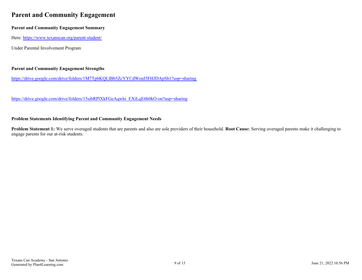## <span id="page-8-0"></span>**Parent and Community Engagement**

### **Parent and Community Engagement Summary**

Here:<https://www.texanscan.org/parent-student/>

Under Parental Involvement Program

### **Parent and Community Engagement Strengths**

<https://drive.google.com/drive/folders/1M7TpbKQLlBb5ZcYYCdWouI5FHJDApSb1?usp=sharing>

[https://drive.google.com/drive/folders/15sibRPlXkFGeAqwhi\\_EXiLqE6h0kO-on?usp=sharing](https://drive.google.com/drive/folders/15sibRPlXkFGeAqwhi_EXiLqE6h0kO-on?usp=sharing)

#### **Problem Statements Identifying Parent and Community Engagement Needs**

**Problem Statement 1:** We serve overaged students that are parents and also are sole providers of their household. **Root Cause:** Serving overaged parents make it challenging to engage parents for our at-risk students.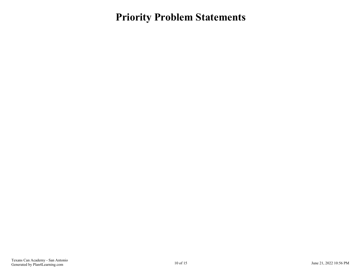<span id="page-9-0"></span>**Priority Problem Statements**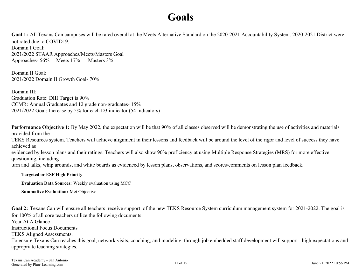## **Goals**

<span id="page-10-0"></span>Goal 1: All Texans Can campuses will be rated overall at the Meets Alternative Standard on the 2020-2021 Accountability System. 2020-2021 District were not rated due to COVID19. Domain I Goal: 2021/2022 STAAR Approaches/Meets/Masters Goal

Approaches- 56% Meets 17% Masters 3%

Domain II Goal: 2021/2022 Domain II Growth Goal- 70%

Domain III<sup>.</sup> Graduation Rate: DIII Target is 90% CCMR: Annual Graduates and 12 grade non-graduates- 15% 2021/2022 Goal: Increase by 5% for each D3 indicator (54 indicators)

**Performance Objective 1:** By May 2022, the expectation will be that 90% of all classes observed will be demonstrating the use of activities and materials provided from the

TEKS Resources system. Teachers will achieve alignment in their lessons and feedback will be around the level of the rigor and level of success they have achieved as

evidenced by lesson plans and their ratings. Teachers will also show 90% proficiency at using Multiple Response Strategies (MRS) for more effective questioning, including

turn and talks, whip arounds, and white boards as evidenced by lesson plans, observations, and scores/comments on lesson plan feedback.

**Targeted or ESF High Priority**

**Evaluation Data Sources:** Weekly evaluation using MCC

**Summative Evaluation:** Met Objective

Goal 2: Texans Can will ensure all teachers receive support of the new TEKS Resource System curriculum management system for 2021-2022. The goal is for 100% of all core teachers utilize the following documents:

Year At A Glance

Instructional Focus Documents

TEKS Aligned Assessments.

To ensure Texans Can reaches this goal, network visits, coaching, and modeling through job embedded staff development will support high expectations and appropriate teaching strategies.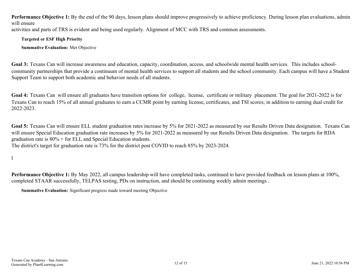<span id="page-11-0"></span>Performance Objective 1: By the end of the 90 days, lesson plans should improve progressively to achieve proficiency. During lesson plan evaluations, admin will ensure activities and parts of TRS is evident and being used regularly. Alignment of MCC with TRS and common assessments.

**Targeted or ESF High Priority**

**Summative Evaluation:** Met Objective

**Goal 3:** Texans Can will increase awareness and education, capacity, coordination, access, and schoolwide mental health services. This includes schoolcommunity partnerships that provide a continuum of mental health services to support all students and the school community. Each campus will have a Student Support Team to support both academic and behavior needs of all students.

**Goal 4:** Texans Can will ensure all graduates have transition options for college, license, certificate or military placement. The goal for 2021-2022 is for Texans Can to reach 15% of all annual graduates to earn a CCMR point by earning license, certificates, and TSI scores; in addition to earning dual credit for 2022-2023.

**Goal 5:** Texans Can will ensure ELL student graduation rates increase by 5% for 2021-2022 as measured by our Results Driven Data designation. Texans Can will ensure Special Education graduation rate increases by 5% for 2021-2022 as measured by our Results Driven Data designation. The targets for RDA graduation rate is 80% + for ELL and Special Education students. The district's target for graduation rate is 73% for the district post COVID to reach 85% by 2023-2024.

l

**Performance Objective 1:** By May 2022, all campus leadership will have completed tasks, continued to have provided feedback on lesson plans at 100%, completed STAAR successfully, TELPAS testing, PDs on instruction, and should be continuing weekly admin meetings .

**Summative Evaluation:** Significant progress made toward meeting Objective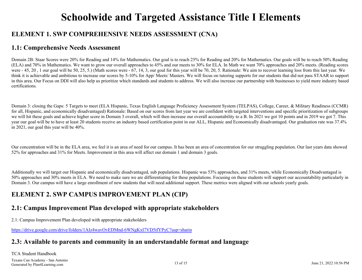## **Schoolwide and Targeted Assistance Title I Elements**

## <span id="page-12-0"></span>**ELEMENT 1. SWP COMPREHENSIVE NEEDS ASSESSMENT (CNA)**

### **1.1: Comprehensive Needs Assessment**

Domain 2B: Staar Scores were 20% for Reading and 14% for Mathematics. Our goal is to reach 25% for Reading and 20% for Mathematics. Our goals will be to reach 50% Reading (ELA) and 70% in Mathematics. We want to grow our overall approaches to 45% and our meets to 30% for ELA. In Math we want 70% approaches and 20% meets. (Reading scores were  $-45$ , 20, 1 our goal will be 50, 25, 5.) (Math scores were  $-67$ , 14, 3, our goal for this year will be 70, 20, 5. Rationale: We aim to recover learning loss from this last year. We think it is achievable and ambitious to increase our scores by 5-10% for App/ Meets/ Masters. We will focus on tutoring supports for our students that did not pass STAAR to support in this area. Our Focus on DDI will also help us prioritize which standards and students to address. We will also increase our partnership with businesses to yield more industry based certifications.

Domain 3: closing the Gaps: 5 Targets to meet (ELA Hispanic, Texas English Language Proficiency Assessment System (TELPAS), College, Career, & Military Readiness (CCMR) for all, Hispanic, and economically disadvantaged) Rationale: Based on our scores from last year we are confident with targeted interventions and specific prioritization of subgroups we will hit these goals and achieve higher score in Domain 3 overall, which will then increase our overall accountability to a B. In 2021 we got 10 points and in 2019 we got 7. This year our goal will be to have at least 20 students receive an industry based certification point in our ALL, Hispanic and Economically disadvantaged. Our graduation rate was 37.4% in 2021, our goal this year will be 40%.

Our concentration will be in the ELA area, we feel it is an area of need for our campus. It has been an area of concentration for our struggling population. Our last years data showed 52% for approaches and 31% for Meets. Improvement in this area will affect our domain 1 and domain 3 goals.

Additionally we will target our Hispanic and economically disadvantaged, sub populations. Hispanic was 53% approaches, and 31% meets, while Economically Disadvantaged is 50% approaches and 30% meets in ELA. We need to make sure we are differentiating for these populations. Focusing on these students will support our accountability particularly in Domain 3. Our campus will have a large enrollment of new students that will need additional support. These metrics were aligned with our schools yearly goals.

## **ELEMENT 2. SWP CAMPUS IMPROVEMENT PLAN (CIP)**

## **2.1: Campus Improvement Plan developed with appropriate stakeholders**

2.1: Campus Improvement Plan developed with appropriate stakeholders

[https://drive.google.com/drive/folders/1AIz4wavOvEDMnd-6WNgKxI7VD5tfYPyC?usp=sharin](https://plan4learning.806technologies.com/app/tiny_mce/2.1:%20Campus%20Improvement%20Plan%20developed%20with%20appropriate%20stakeholders%20https:/drive.google.com/drive/folders/1AIz4wavOvEDMnd-6WNgKxI7VD5tfYPyC?usp=sharin)

### **2.3: Available to parents and community in an understandable format and language**

TCA Student Handbook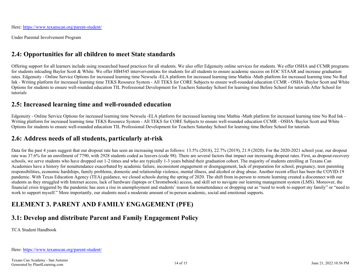<span id="page-13-0"></span>Here:<https://www.texanscan.org/parent-student/>

Under Parental Involvement Program

## **2.4: Opportunities for all children to meet State standards**

Offering support for all learners include using researched based practices for all students. We also offer Edgenuity online services for students. We offer OSHA and CCMR programs for students inlcuding Baylor Scott & White. We offer HB4545 interverventions for students for all students to ensure academic success on EOC STAAR and increase graduation rates. Edgenuity - Online Service Options for increased learning time Newsela -ELA platform for increased learning time Mathia -Math platform for increased learning time No Red Ink - Writing platform for increased learning time TEKS Resource System - All TEKS for CORE Subjects to ensure well-rounded education CCMR - OSHA /Baylor Scott and White Options for students to ensure well-rounded education TIL Professional Development for Teachers Saturday School for learning time Before School for tutorials After School for tutorials

### **2.5: Increased learning time and well-rounded education**

Edgenuity - Online Service Options for increased learning time Newsela -ELA platform for increased learning time Mathia -Math platform for increased learning time No Red Ink - Writing platform for increased learning time TEKS Resource System - All TEKS for CORE Subjects to ensure well-rounded education CCMR - OSHA /Baylor Scott and White Options for students to ensure well-rounded education TIL Professional Development for Teachers Saturday School for learning time Before School for tutorials

### **2.6: Address needs of all students, particularly at-risk**

Data for the past 4 years suggest that our dropout rate has seen an increasing trend as follows: 13.5% (2018), 22.7% (2019), 21.9 (2020). For the 2020-2021 school year, our dropout rate was 37.6% for an enrollment of 7790, with 2928 students coded as leavers (code 98). There are several factors that impact our increasing dropout rates. First, as dropout-recovery schools, we serve students who have dropped out 1-2 times and who are typically 1-3 years behind their graduation cohort. The majority of students enrolling at Texans Can Academies have a history for nonattendance exacerbated by academic failure, inconsistent engagement or disengagement, lack of preparation for school, pregnancy, teen parenting responsibilities, economic hardships, family problems, domestic and relationship violence, mental illness, and alcohol or drug abuse. Another recent effect has been the COVID-19 pandemic. With Texas Education Agency (TEA) guidance, we closed schools during the spring of 2020. The shift from in-person to remote learning created a disconnect with our students as they struggled with Internet access, lack of hardware (laptops or Chromebook) access, and skill set to navigate our learning management system (LMS). Moreover, the financial crisis triggered by the pandemic has seen a rise in unemployment and students' reason for nonattendance or dropping out as "need to work to support my family" or "need to work to support myself." More importantly, our students need a moderate amount of in-person academic, social and emotional supports.

## **ELEMENT 3. PARENT AND FAMILY ENGAGEMENT (PFE)**

## **3.1: Develop and distribute Parent and Family Engagement Policy**

TCA Student Handbook

Here:<https://www.texanscan.org/parent-student/>